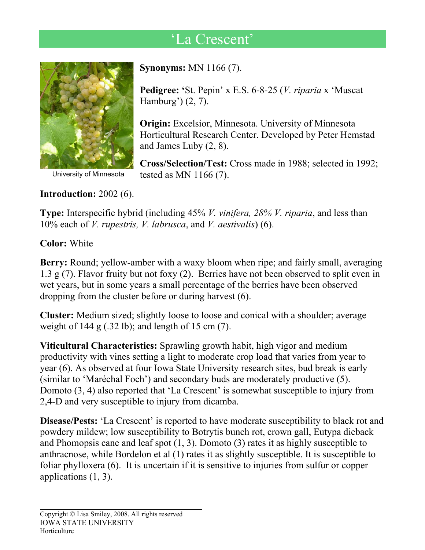## 'La Crescent'



**Introduction:** 2002 (6).

**Synonyms:** MN 1166 (7).

**Pedigree: '**St. Pepin' x E.S. 6-8-25 (*V. riparia* x 'Muscat Hamburg') (2, 7).

**Origin:** Excelsior, Minnesota. University of Minnesota Horticultural Research Center. Developed by Peter Hemstad and James Luby (2, 8).

**Cross/Selection/Test:** Cross made in 1988; selected in 1992; University of Minnesota tested as MN  $1166 (7)$ .

**Type:** Interspecific hybrid (including 45% *V. vinifera, 28% V. riparia*, and less than 10% each of *V. rupestris, V. labrusca*, and *V. aestivalis*) (6).

**Color:** White

**Berry:** Round; yellow-amber with a waxy bloom when ripe; and fairly small, averaging 1.3 g (7). Flavor fruity but not foxy (2). Berries have not been observed to split even in wet years, but in some years a small percentage of the berries have been observed dropping from the cluster before or during harvest (6).

**Cluster:** Medium sized; slightly loose to loose and conical with a shoulder; average weight of 144 g  $(.32 \text{ lb})$ ; and length of 15 cm  $(7)$ .

**Viticultural Characteristics:** Sprawling growth habit, high vigor and medium productivity with vines setting a light to moderate crop load that varies from year to year (6). As observed at four Iowa State University research sites, bud break is early (similar to 'Maréchal Foch') and secondary buds are moderately productive (5). Domoto (3, 4) also reported that 'La Crescent' is somewhat susceptible to injury from 2,4-D and very susceptible to injury from dicamba.

**Disease/Pests:** 'La Crescent' is reported to have moderate susceptibility to black rot and powdery mildew; low susceptibility to Botrytis bunch rot, crown gall, Eutypa dieback and Phomopsis cane and leaf spot (1, 3). Domoto (3) rates it as highly susceptible to anthracnose, while Bordelon et al (1) rates it as slightly susceptible. It is susceptible to foliar phylloxera (6).It is uncertain if it is sensitive to injuries from sulfur or copper applications (1, 3).

 $\overline{a}$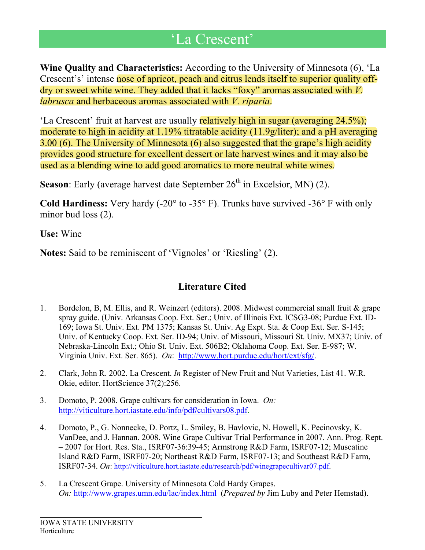## 'La Crescent'

**Wine Quality and Characteristics:** According to the University of Minnesota (6), 'La Crescent's' intense nose of apricot, peach and citrus lends itself to superior quality offdry or sweet white wine. They added that it lacks "foxy" aromas associated with *V. labrusca* and herbaceous aromas associated with *V. riparia*.

'La Crescent' fruit at harvest are usually relatively high in sugar (averaging 24.5%); moderate to high in acidity at 1.19% titratable acidity (11.9g/liter); and a pH averaging 3.00 (6). The University of Minnesota (6) also suggested that the grape's high acidity provides good structure for excellent dessert or late harvest wines and it may also be used as a blending wine to add good aromatics to more neutral white wines.

**Season**: Early (average harvest date September  $26<sup>th</sup>$  in Excelsior, MN) (2).

**Cold Hardiness:** Very hardy (-20° to -35° F). Trunks have survived -36° F with only minor bud loss  $(2)$ .

**Use:** Wine

**Notes:** Said to be reminiscent of 'Vignoles' or 'Riesling' (2).

## **Literature Cited**

- 1. Bordelon, B, M. Ellis, and R. Weinzerl (editors). 2008. Midwest commercial small fruit & grape spray guide. (Univ. Arkansas Coop. Ext. Ser.; Univ. of Illinois Ext. ICSG3-08; Purdue Ext. ID-169; Iowa St. Univ. Ext. PM 1375; Kansas St. Univ. Ag Expt. Sta. & Coop Ext. Ser. S-145; Univ. of Kentucky Coop. Ext. Ser. ID-94; Univ. of Missouri, Missouri St. Univ. MX37; Univ. of Nebraska-Lincoln Ext.; Ohio St. Univ. Ext. 506B2; Oklahoma Coop. Ext. Ser. E-987; W. Virginia Univ. Ext. Ser. 865). *On*: [http://www.hort.purdue.edu/hort/ext/sfg/.](http://www.hort.purdue.edu/hort/ext/sfg/)
- 2. Clark, John R. 2002. La Crescent. *In* Register of New Fruit and Nut Varieties, List 41. W.R. Okie, editor. HortScience 37(2):256.
- 3. Domoto, P. 2008. Grape cultivars for consideration in Iowa. *On:*  [http://viticulture.hort.iastate.edu/info/pdf](http://viticulture.hort.iastate.edu/info/pdf/cultivars08.pdf)**/**cultivars08.pdf.
- 4. Domoto, P., G. Nonnecke, D. Portz, L. Smiley, B. Havlovic, N. Howell, K. Pecinovsky, K. VanDee, and J. Hannan. 2008. Wine Grape Cultivar Trial Performance in 2007. Ann. Prog. Rept. – 2007 for Hort. Res. Sta., ISRF07-36:39-45; Armstrong R&D Farm, ISRF07-12; Muscatine Island R&D Farm, ISRF07-20; Northeast R&D Farm, ISRF07-13; and Southeast R&D Farm, ISRF07-34. *On*:<http://viticulture.hort.iastate.edu/research/pdf/winegrapecultivar07.pdf>.
- 5. La Crescent Grape. University of Minnesota Cold Hardy Grapes. *On:* <http://www.grapes.umn.edu/lac/index.html> (*Prepared by* Jim Luby and Peter Hemstad).

 $\overline{a}$